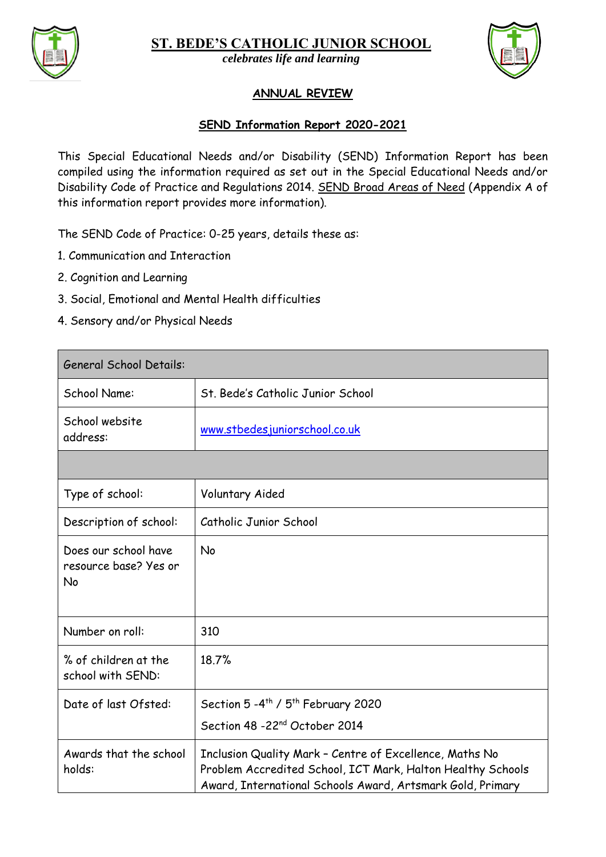

**ST. BEDE'S CATHOLIC JUNIOR SCHOOL**



*celebrates live and learning celebrates life and learning*

## **ANNUAL REVIEW**

## **SEND Information Report 2020-2021**

This Special Educational Needs and/or Disability (SEND) Information Report has been compiled using the information required as set out in the Special Educational Needs and/or Disability Code of Practice and Regulations 2014. SEND Broad Areas of Need (Appendix A of this information report provides more information).

The SEND Code of Practice: 0-25 years, details these as:

- 1. Communication and Interaction
- 2. Cognition and Learning
- 3. Social, Emotional and Mental Health difficulties
- 4. Sensory and/or Physical Needs

| <b>General School Details:</b>                      |                                                                                                                                                                                      |  |
|-----------------------------------------------------|--------------------------------------------------------------------------------------------------------------------------------------------------------------------------------------|--|
| School Name:                                        | St. Bede's Catholic Junior School                                                                                                                                                    |  |
| School website<br>address:                          | www.stbedesjuniorschool.co.uk                                                                                                                                                        |  |
|                                                     |                                                                                                                                                                                      |  |
| Type of school:                                     | Voluntary Aided                                                                                                                                                                      |  |
| Description of school:                              | Catholic Junior School                                                                                                                                                               |  |
| Does our school have<br>resource base? Yes or<br>No | No                                                                                                                                                                                   |  |
| Number on roll:                                     | 310                                                                                                                                                                                  |  |
| % of children at the<br>school with SEND:           | 18.7%                                                                                                                                                                                |  |
| Date of last Ofsted:                                | Section 5 - 4 <sup>th</sup> / 5 <sup>th</sup> February 2020                                                                                                                          |  |
|                                                     | Section 48 -22 <sup>nd</sup> October 2014                                                                                                                                            |  |
| Awards that the school<br>holds:                    | Inclusion Quality Mark - Centre of Excellence, Maths No<br>Problem Accredited School, ICT Mark, Halton Healthy Schools<br>Award, International Schools Award, Artsmark Gold, Primary |  |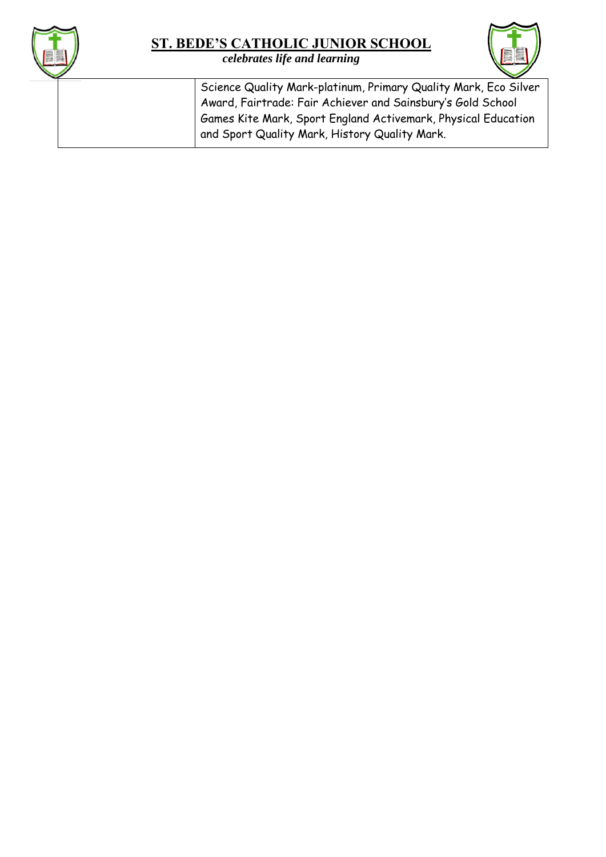

*celebrates live and learning celebrates life and learning*

Science Quality Mark-platinum, Primary Quality Mark, Eco Silver Award, Fairtrade: Fair Achiever and Sainsbury's Gold School Games Kite Mark, Sport England Activemark, Physical Education and Sport Quality Mark, History Quality Mark.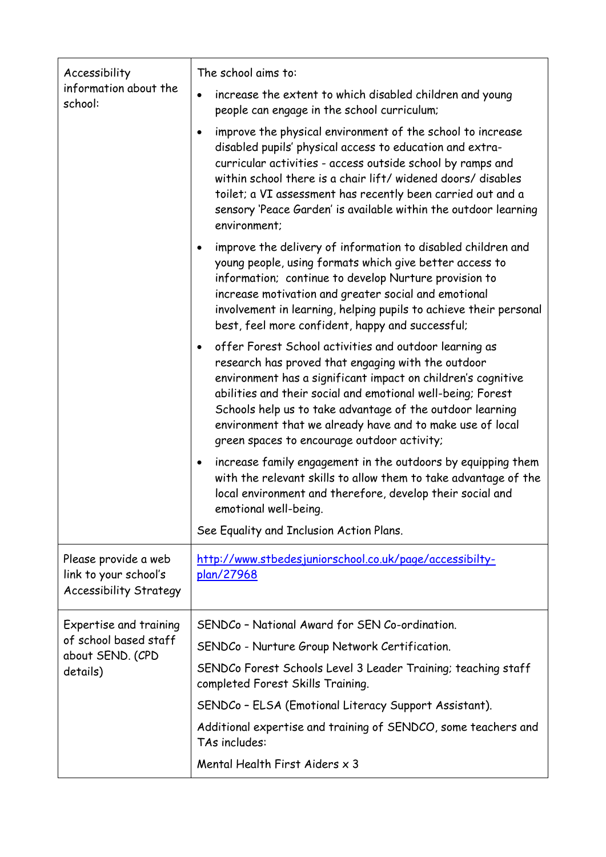| Accessibility                                                                  | The school aims to:                                                                                                                                                                                                                                                                                                                                                                                                               |  |  |  |
|--------------------------------------------------------------------------------|-----------------------------------------------------------------------------------------------------------------------------------------------------------------------------------------------------------------------------------------------------------------------------------------------------------------------------------------------------------------------------------------------------------------------------------|--|--|--|
| information about the<br>school:                                               | increase the extent to which disabled children and young<br>people can engage in the school curriculum;                                                                                                                                                                                                                                                                                                                           |  |  |  |
|                                                                                | improve the physical environment of the school to increase<br>$\bullet$<br>disabled pupils' physical access to education and extra-<br>curricular activities - access outside school by ramps and<br>within school there is a chair lift/widened doors/disables<br>toilet; a VI assessment has recently been carried out and a<br>sensory 'Peace Garden' is available within the outdoor learning<br>environment;                 |  |  |  |
|                                                                                | improve the delivery of information to disabled children and<br>٠<br>young people, using formats which give better access to<br>information; continue to develop Nurture provision to<br>increase motivation and greater social and emotional<br>involvement in learning, helping pupils to achieve their personal<br>best, feel more confident, happy and successful;                                                            |  |  |  |
|                                                                                | offer Forest School activities and outdoor learning as<br>$\bullet$<br>research has proved that engaging with the outdoor<br>environment has a significant impact on children's cognitive<br>abilities and their social and emotional well-being; Forest<br>Schools help us to take advantage of the outdoor learning<br>environment that we already have and to make use of local<br>green spaces to encourage outdoor activity; |  |  |  |
|                                                                                | increase family engagement in the outdoors by equipping them<br>$\bullet$<br>with the relevant skills to allow them to take advantage of the<br>local environment and therefore, develop their social and<br>emotional well-being.                                                                                                                                                                                                |  |  |  |
|                                                                                | See Equality and Inclusion Action Plans.                                                                                                                                                                                                                                                                                                                                                                                          |  |  |  |
| Please provide a web<br>link to your school's<br><b>Accessibility Strategy</b> | http://www.stbedesjuniorschool.co.uk/page/accessibilty-<br>plan/27968                                                                                                                                                                                                                                                                                                                                                             |  |  |  |
| Expertise and training                                                         | SENDCo - National Award for SEN Co-ordination.                                                                                                                                                                                                                                                                                                                                                                                    |  |  |  |
| of school based staff<br>about SEND. (CPD                                      | SENDCo - Nurture Group Network Certification.                                                                                                                                                                                                                                                                                                                                                                                     |  |  |  |
| details)                                                                       | SENDCo Forest Schools Level 3 Leader Training; teaching staff<br>completed Forest Skills Training.                                                                                                                                                                                                                                                                                                                                |  |  |  |
|                                                                                | SENDCo - ELSA (Emotional Literacy Support Assistant).                                                                                                                                                                                                                                                                                                                                                                             |  |  |  |
|                                                                                | Additional expertise and training of SENDCO, some teachers and<br>TAs includes:                                                                                                                                                                                                                                                                                                                                                   |  |  |  |
|                                                                                | Mental Health First Aiders x 3                                                                                                                                                                                                                                                                                                                                                                                                    |  |  |  |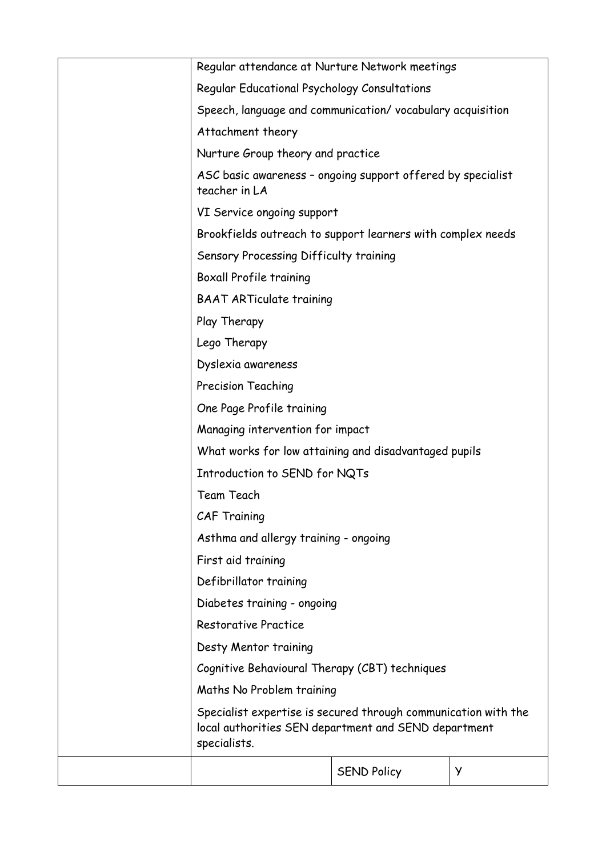| Regular attendance at Nurture Network meetings                                                                                         |                    |   |
|----------------------------------------------------------------------------------------------------------------------------------------|--------------------|---|
| Regular Educational Psychology Consultations                                                                                           |                    |   |
| Speech, language and communication/vocabulary acquisition                                                                              |                    |   |
| Attachment theory                                                                                                                      |                    |   |
| Nurture Group theory and practice                                                                                                      |                    |   |
| ASC basic awareness - ongoing support offered by specialist<br>teacher in LA                                                           |                    |   |
| VI Service ongoing support                                                                                                             |                    |   |
| Brookfields outreach to support learners with complex needs                                                                            |                    |   |
| Sensory Processing Difficulty training                                                                                                 |                    |   |
| <b>Boxall Profile training</b>                                                                                                         |                    |   |
| <b>BAAT ARTiculate training</b>                                                                                                        |                    |   |
| Play Therapy                                                                                                                           |                    |   |
| Lego Therapy                                                                                                                           |                    |   |
| Dyslexia awareness                                                                                                                     |                    |   |
| Precision Teaching                                                                                                                     |                    |   |
| One Page Profile training                                                                                                              |                    |   |
| Managing intervention for impact                                                                                                       |                    |   |
| What works for low attaining and disadvantaged pupils                                                                                  |                    |   |
| Introduction to SEND for NQTs                                                                                                          |                    |   |
| Team Teach                                                                                                                             |                    |   |
| <b>CAF Training</b>                                                                                                                    |                    |   |
| Asthma and allergy training - ongoing                                                                                                  |                    |   |
| First aid training                                                                                                                     |                    |   |
| Defibrillator training                                                                                                                 |                    |   |
| Diabetes training - ongoing                                                                                                            |                    |   |
| <b>Restorative Practice</b>                                                                                                            |                    |   |
| Desty Mentor training                                                                                                                  |                    |   |
| Cognitive Behavioural Therapy (CBT) techniques                                                                                         |                    |   |
| Maths No Problem training                                                                                                              |                    |   |
| Specialist expertise is secured through communication with the<br>local authorities SEN department and SEND department<br>specialists. |                    |   |
|                                                                                                                                        | <b>SEND Policy</b> | У |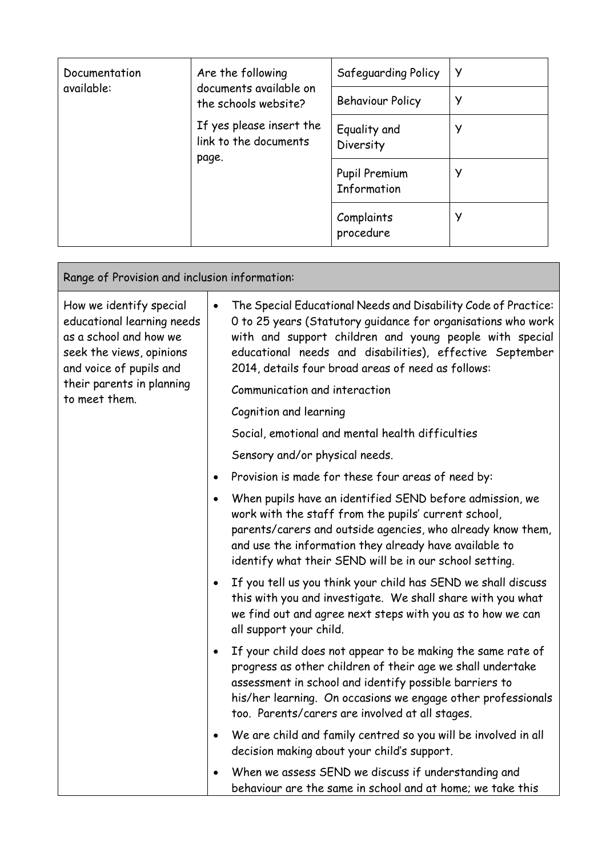| Documentation | Are the following<br>documents available on<br>the schools website?<br>If yes please insert the<br>link to the documents<br>page. | Safeguarding Policy          | <sub>y</sub> |
|---------------|-----------------------------------------------------------------------------------------------------------------------------------|------------------------------|--------------|
| available:    |                                                                                                                                   | <b>Behaviour Policy</b>      | У            |
|               |                                                                                                                                   | Equality and<br>Diversity    | У            |
|               |                                                                                                                                   | Pupil Premium<br>Information | У            |
|               |                                                                                                                                   | Complaints<br>procedure      | У            |

 $\mathbf{r}$ 

| Range of Provision and inclusion information:                                                                                          |                                                                                                                                                                                                                                                                                                                          |  |
|----------------------------------------------------------------------------------------------------------------------------------------|--------------------------------------------------------------------------------------------------------------------------------------------------------------------------------------------------------------------------------------------------------------------------------------------------------------------------|--|
| How we identify special<br>educational learning needs<br>as a school and how we<br>seek the views, opinions<br>and voice of pupils and | The Special Educational Needs and Disability Code of Practice:<br>$\bullet$<br>O to 25 years (Statutory guidance for organisations who work<br>with and support children and young people with special<br>educational needs and disabilities), effective September<br>2014, details four broad areas of need as follows: |  |
| their parents in planning<br>to meet them.                                                                                             | Communication and interaction                                                                                                                                                                                                                                                                                            |  |
|                                                                                                                                        | Cognition and learning                                                                                                                                                                                                                                                                                                   |  |
|                                                                                                                                        | Social, emotional and mental health difficulties                                                                                                                                                                                                                                                                         |  |
|                                                                                                                                        | Sensory and/or physical needs.                                                                                                                                                                                                                                                                                           |  |
|                                                                                                                                        | Provision is made for these four areas of need by:<br>$\bullet$                                                                                                                                                                                                                                                          |  |
|                                                                                                                                        | When pupils have an identified SEND before admission, we<br>$\bullet$<br>work with the staff from the pupils' current school,<br>parents/carers and outside agencies, who already know them,<br>and use the information they already have available to<br>identify what their SEND will be in our school setting.        |  |
|                                                                                                                                        | If you tell us you think your child has SEND we shall discuss<br>$\bullet$<br>this with you and investigate. We shall share with you what<br>we find out and agree next steps with you as to how we can<br>all support your child.                                                                                       |  |
|                                                                                                                                        | If your child does not appear to be making the same rate of<br>$\bullet$<br>progress as other children of their age we shall undertake<br>assessment in school and identify possible barriers to<br>his/her learning. On occasions we engage other professionals<br>too. Parents/carers are involved at all stages.      |  |
|                                                                                                                                        | We are child and family centred so you will be involved in all<br>$\bullet$<br>decision making about your child's support.                                                                                                                                                                                               |  |
|                                                                                                                                        | When we assess SEND we discuss if understanding and<br>behaviour are the same in school and at home; we take this                                                                                                                                                                                                        |  |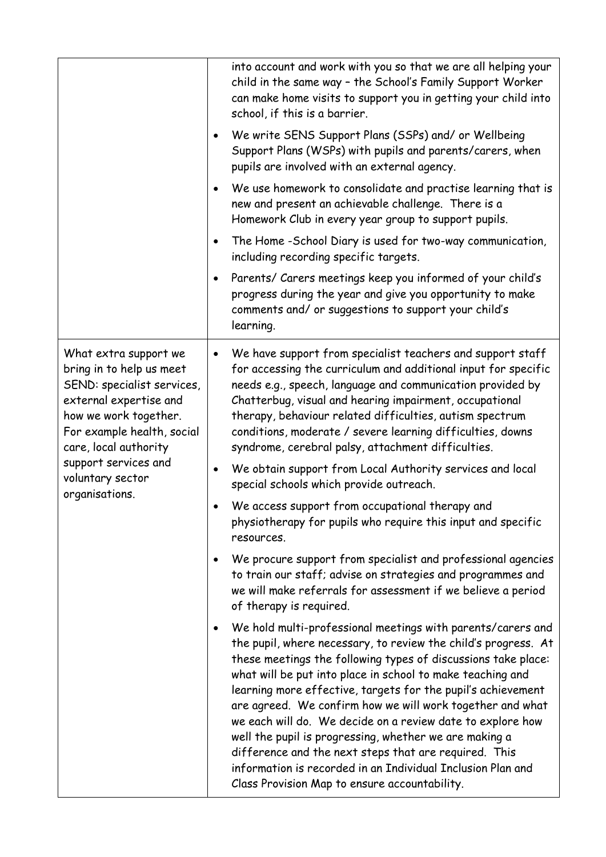|                                                                                                                                                                                           |           | into account and work with you so that we are all helping your<br>child in the same way - the School's Family Support Worker<br>can make home visits to support you in getting your child into<br>school, if this is a barrier.                                                                                                                                                                                                                                                                                                                                                                                                                                                            |
|-------------------------------------------------------------------------------------------------------------------------------------------------------------------------------------------|-----------|--------------------------------------------------------------------------------------------------------------------------------------------------------------------------------------------------------------------------------------------------------------------------------------------------------------------------------------------------------------------------------------------------------------------------------------------------------------------------------------------------------------------------------------------------------------------------------------------------------------------------------------------------------------------------------------------|
|                                                                                                                                                                                           | $\bullet$ | We write SENS Support Plans (SSPs) and/ or Wellbeing<br>Support Plans (WSPs) with pupils and parents/carers, when<br>pupils are involved with an external agency.                                                                                                                                                                                                                                                                                                                                                                                                                                                                                                                          |
|                                                                                                                                                                                           | $\bullet$ | We use homework to consolidate and practise learning that is<br>new and present an achievable challenge. There is a<br>Homework Club in every year group to support pupils.                                                                                                                                                                                                                                                                                                                                                                                                                                                                                                                |
|                                                                                                                                                                                           | $\bullet$ | The Home -School Diary is used for two-way communication,<br>including recording specific targets.                                                                                                                                                                                                                                                                                                                                                                                                                                                                                                                                                                                         |
|                                                                                                                                                                                           | $\bullet$ | Parents/ Carers meetings keep you informed of your child's<br>progress during the year and give you opportunity to make<br>comments and/ or suggestions to support your child's<br>learning.                                                                                                                                                                                                                                                                                                                                                                                                                                                                                               |
| What extra support we<br>bring in to help us meet<br>SEND: specialist services,<br>external expertise and<br>how we work together.<br>For example health, social<br>care, local authority | $\bullet$ | We have support from specialist teachers and support staff<br>for accessing the curriculum and additional input for specific<br>needs e.g., speech, language and communication provided by<br>Chatterbug, visual and hearing impairment, occupational<br>therapy, behaviour related difficulties, autism spectrum<br>conditions, moderate / severe learning difficulties, downs<br>syndrome, cerebral palsy, attachment difficulties.                                                                                                                                                                                                                                                      |
| support services and<br>voluntary sector<br>organisations.                                                                                                                                |           | We obtain support from Local Authority services and local<br>special schools which provide outreach.                                                                                                                                                                                                                                                                                                                                                                                                                                                                                                                                                                                       |
|                                                                                                                                                                                           |           | We access support from occupational therapy and<br>physiotherapy for pupils who require this input and specific<br>resources.                                                                                                                                                                                                                                                                                                                                                                                                                                                                                                                                                              |
|                                                                                                                                                                                           | $\bullet$ | We procure support from specialist and professional agencies<br>to train our staff; advise on strategies and programmes and<br>we will make referrals for assessment if we believe a period<br>of therapy is required.                                                                                                                                                                                                                                                                                                                                                                                                                                                                     |
|                                                                                                                                                                                           | $\bullet$ | We hold multi-professional meetings with parents/carers and<br>the pupil, where necessary, to review the child's progress. At<br>these meetings the following types of discussions take place:<br>what will be put into place in school to make teaching and<br>learning more effective, targets for the pupil's achievement<br>are agreed. We confirm how we will work together and what<br>we each will do. We decide on a review date to explore how<br>well the pupil is progressing, whether we are making a<br>difference and the next steps that are required. This<br>information is recorded in an Individual Inclusion Plan and<br>Class Provision Map to ensure accountability. |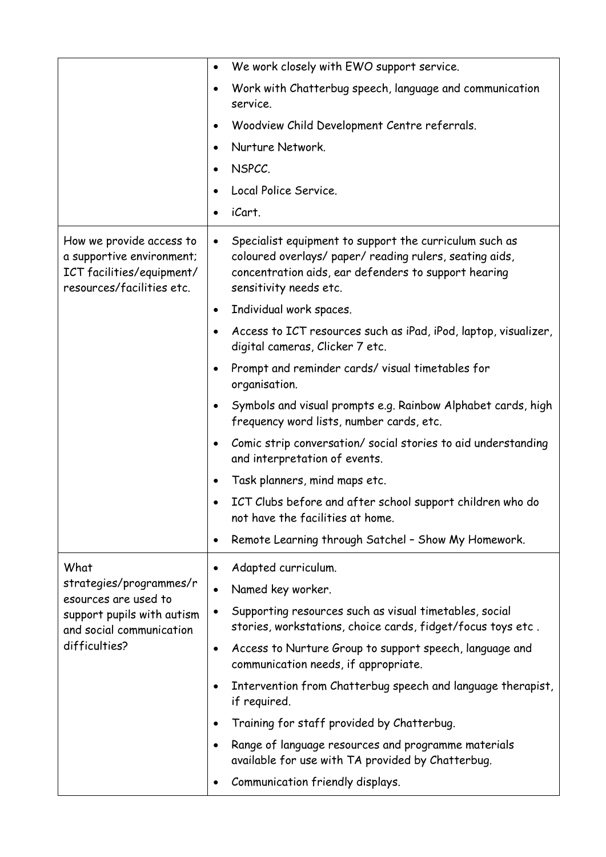|                                                                                                                 | We work closely with EWO support service.<br>$\bullet$                                                                                                                                                           |
|-----------------------------------------------------------------------------------------------------------------|------------------------------------------------------------------------------------------------------------------------------------------------------------------------------------------------------------------|
|                                                                                                                 | Work with Chatterbug speech, language and communication<br>$\bullet$<br>service.                                                                                                                                 |
|                                                                                                                 | Woodview Child Development Centre referrals.<br>$\bullet$                                                                                                                                                        |
|                                                                                                                 | Nurture Network.                                                                                                                                                                                                 |
|                                                                                                                 | NSPCC.<br>$\bullet$                                                                                                                                                                                              |
|                                                                                                                 | Local Police Service.                                                                                                                                                                                            |
|                                                                                                                 | iCart.<br>$\bullet$                                                                                                                                                                                              |
| How we provide access to<br>a supportive environment;<br>ICT facilities/equipment/<br>resources/facilities etc. | Specialist equipment to support the curriculum such as<br>$\bullet$<br>coloured overlays/ paper/ reading rulers, seating aids,<br>concentration aids, ear defenders to support hearing<br>sensitivity needs etc. |
|                                                                                                                 | Individual work spaces.<br>$\bullet$                                                                                                                                                                             |
|                                                                                                                 | Access to ICT resources such as iPad, iPod, laptop, visualizer,<br>digital cameras, Clicker 7 etc.                                                                                                               |
|                                                                                                                 | Prompt and reminder cards/visual timetables for<br>$\bullet$<br>organisation.                                                                                                                                    |
|                                                                                                                 | Symbols and visual prompts e.g. Rainbow Alphabet cards, high<br>$\bullet$<br>frequency word lists, number cards, etc.                                                                                            |
|                                                                                                                 | Comic strip conversation/ social stories to aid understanding<br>$\bullet$<br>and interpretation of events.                                                                                                      |
|                                                                                                                 | Task planners, mind maps etc.<br>$\bullet$                                                                                                                                                                       |
|                                                                                                                 | ICT Clubs before and after school support children who do<br>not have the facilities at home.                                                                                                                    |
|                                                                                                                 | Remote Learning through Satchel - Show My Homework.<br>$\bullet$                                                                                                                                                 |
| What                                                                                                            | Adapted curriculum.<br>٠                                                                                                                                                                                         |
| strategies/programmes/r                                                                                         | Named key worker.<br>$\bullet$                                                                                                                                                                                   |
| esources are used to<br>support pupils with autism<br>and social communication<br>difficulties?                 | Supporting resources such as visual timetables, social<br>$\bullet$<br>stories, workstations, choice cards, fidget/focus toys etc.                                                                               |
|                                                                                                                 | Access to Nurture Group to support speech, language and<br>٠<br>communication needs, if appropriate.                                                                                                             |
|                                                                                                                 | Intervention from Chatterbug speech and language therapist,<br>$\bullet$<br>if required.                                                                                                                         |
|                                                                                                                 | Training for staff provided by Chatterbug.<br>$\bullet$                                                                                                                                                          |
|                                                                                                                 | Range of language resources and programme materials<br>$\bullet$<br>available for use with TA provided by Chatterbug.                                                                                            |
|                                                                                                                 | Communication friendly displays.                                                                                                                                                                                 |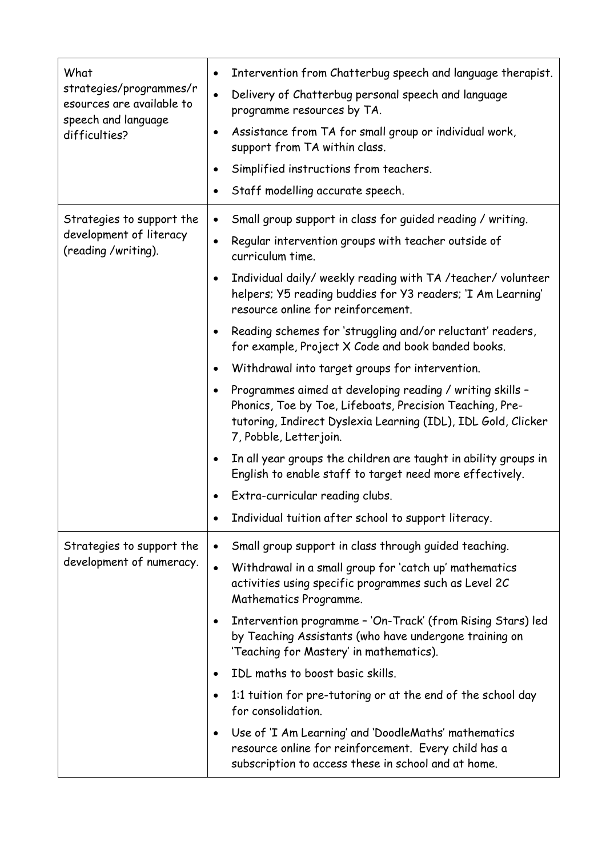| What<br>strategies/programmes/r<br>esources are available to<br>speech and language<br>difficulties? | Intervention from Chatterbug speech and language therapist.<br>$\bullet$                                                                                                                                                      |
|------------------------------------------------------------------------------------------------------|-------------------------------------------------------------------------------------------------------------------------------------------------------------------------------------------------------------------------------|
|                                                                                                      | Delivery of Chatterbug personal speech and language<br>$\bullet$<br>programme resources by TA.                                                                                                                                |
|                                                                                                      | Assistance from TA for small group or individual work,<br>$\bullet$<br>support from TA within class.                                                                                                                          |
|                                                                                                      | Simplified instructions from teachers.<br>$\bullet$                                                                                                                                                                           |
|                                                                                                      | Staff modelling accurate speech.                                                                                                                                                                                              |
| Strategies to support the                                                                            | Small group support in class for guided reading / writing.<br>$\bullet$                                                                                                                                                       |
| development of literacy<br>(reading /writing).                                                       | Regular intervention groups with teacher outside of<br>$\bullet$<br>curriculum time.                                                                                                                                          |
|                                                                                                      | Individual daily/ weekly reading with TA /teacher/ volunteer<br>$\bullet$<br>helpers; Y5 reading buddies for Y3 readers; 'I Am Learning'<br>resource online for reinforcement.                                                |
|                                                                                                      | Reading schemes for 'struggling and/or reluctant' readers,<br>$\bullet$<br>for example, Project X Code and book banded books.                                                                                                 |
|                                                                                                      | Withdrawal into target groups for intervention.<br>$\bullet$                                                                                                                                                                  |
|                                                                                                      | Programmes aimed at developing reading / writing skills -<br>$\bullet$<br>Phonics, Toe by Toe, Lifeboats, Precision Teaching, Pre-<br>tutoring, Indirect Dyslexia Learning (IDL), IDL Gold, Clicker<br>7, Pobble, Letterjoin. |
|                                                                                                      | In all year groups the children are taught in ability groups in<br>$\bullet$<br>English to enable staff to target need more effectively.                                                                                      |
|                                                                                                      | Extra-curricular reading clubs.                                                                                                                                                                                               |
|                                                                                                      | Individual tuition after school to support literacy.<br>$\bullet$                                                                                                                                                             |
| Strategies to support the                                                                            | Small group support in class through guided teaching.<br>$\bullet$                                                                                                                                                            |
| development of numeracy.                                                                             | Withdrawal in a small group for 'catch up' mathematics<br>$\bullet$<br>activities using specific programmes such as Level 2C<br>Mathematics Programme.                                                                        |
|                                                                                                      | Intervention programme - 'On-Track' (from Rising Stars) led<br>$\bullet$<br>by Teaching Assistants (who have undergone training on<br>'Teaching for Mastery' in mathematics).                                                 |
|                                                                                                      | IDL maths to boost basic skills.<br>$\bullet$                                                                                                                                                                                 |
|                                                                                                      | 1:1 tuition for pre-tutoring or at the end of the school day<br>$\bullet$<br>for consolidation.                                                                                                                               |
|                                                                                                      | Use of 'I Am Learning' and 'DoodleMaths' mathematics<br>$\bullet$<br>resource online for reinforcement. Every child has a<br>subscription to access these in school and at home.                                              |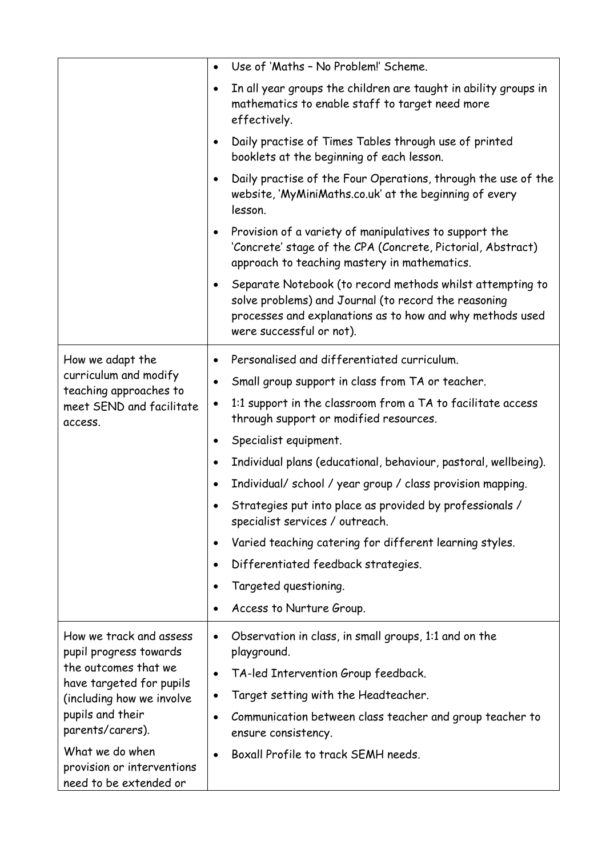|                                                                                                       | $\bullet$ | Use of 'Maths - No Problem!' Scheme.                                                                                                                                                                       |
|-------------------------------------------------------------------------------------------------------|-----------|------------------------------------------------------------------------------------------------------------------------------------------------------------------------------------------------------------|
|                                                                                                       | $\bullet$ | In all year groups the children are taught in ability groups in<br>mathematics to enable staff to target need more<br>effectively.                                                                         |
|                                                                                                       | $\bullet$ | Daily practise of Times Tables through use of printed<br>booklets at the beginning of each lesson.                                                                                                         |
|                                                                                                       | $\bullet$ | Daily practise of the Four Operations, through the use of the<br>website, 'MyMiniMaths.co.uk' at the beginning of every<br>lesson.                                                                         |
|                                                                                                       | $\bullet$ | Provision of a variety of manipulatives to support the<br>'Concrete' stage of the CPA (Concrete, Pictorial, Abstract)<br>approach to teaching mastery in mathematics.                                      |
|                                                                                                       | $\bullet$ | Separate Notebook (to record methods whilst attempting to<br>solve problems) and Journal (to record the reasoning<br>processes and explanations as to how and why methods used<br>were successful or not). |
| How we adapt the                                                                                      | ٠         | Personalised and differentiated curriculum.                                                                                                                                                                |
| curriculum and modify                                                                                 | $\bullet$ | Small group support in class from TA or teacher.                                                                                                                                                           |
| teaching approaches to<br>meet SEND and facilitate<br>access.                                         | $\bullet$ | 1:1 support in the classroom from a TA to facilitate access<br>through support or modified resources.                                                                                                      |
|                                                                                                       | ٠         | Specialist equipment.                                                                                                                                                                                      |
|                                                                                                       | $\bullet$ | Individual plans (educational, behaviour, pastoral, wellbeing).                                                                                                                                            |
|                                                                                                       | $\bullet$ | Individual/ school / year group / class provision mapping.                                                                                                                                                 |
|                                                                                                       |           | Strategies put into place as provided by professionals /<br>specialist services / outreach.                                                                                                                |
|                                                                                                       | ٠         | Varied teaching catering for different learning styles.                                                                                                                                                    |
|                                                                                                       | $\bullet$ | Differentiated feedback strategies.                                                                                                                                                                        |
|                                                                                                       | $\bullet$ | Targeted questioning.                                                                                                                                                                                      |
|                                                                                                       | $\bullet$ | Access to Nurture Group.                                                                                                                                                                                   |
| How we track and assess<br>pupil progress towards<br>the outcomes that we<br>have targeted for pupils | $\bullet$ | Observation in class, in small groups, 1:1 and on the<br>playground.                                                                                                                                       |
|                                                                                                       | $\bullet$ | TA-led Intervention Group feedback.                                                                                                                                                                        |
| (including how we involve                                                                             | $\bullet$ | Target setting with the Headteacher.                                                                                                                                                                       |
| pupils and their<br>parents/carers).                                                                  | $\bullet$ | Communication between class teacher and group teacher to<br>ensure consistency.                                                                                                                            |
| What we do when<br>provision or interventions<br>need to be extended or                               |           | Boxall Profile to track SEMH needs.                                                                                                                                                                        |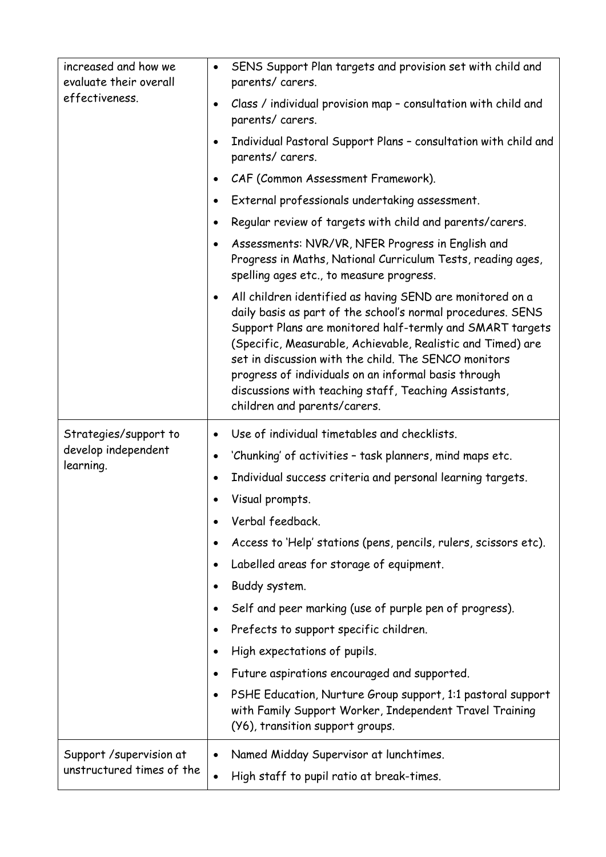| increased and how we<br>evaluate their overall | SENS Support Plan targets and provision set with child and<br>$\bullet$<br>parents/carers.                                                                                                                                                                                                                                                                                                                                                                                 |
|------------------------------------------------|----------------------------------------------------------------------------------------------------------------------------------------------------------------------------------------------------------------------------------------------------------------------------------------------------------------------------------------------------------------------------------------------------------------------------------------------------------------------------|
| effectiveness.                                 | Class / individual provision map - consultation with child and<br>$\bullet$<br>parents/carers.                                                                                                                                                                                                                                                                                                                                                                             |
|                                                | Individual Pastoral Support Plans - consultation with child and<br>$\bullet$<br>parents/carers.                                                                                                                                                                                                                                                                                                                                                                            |
|                                                | CAF (Common Assessment Framework).<br>$\bullet$                                                                                                                                                                                                                                                                                                                                                                                                                            |
|                                                | External professionals undertaking assessment.<br>$\bullet$                                                                                                                                                                                                                                                                                                                                                                                                                |
|                                                | Regular review of targets with child and parents/carers.<br>$\bullet$                                                                                                                                                                                                                                                                                                                                                                                                      |
|                                                | Assessments: NVR/VR, NFER Progress in English and<br>$\bullet$<br>Progress in Maths, National Curriculum Tests, reading ages,<br>spelling ages etc., to measure progress.                                                                                                                                                                                                                                                                                                  |
|                                                | All children identified as having SEND are monitored on a<br>$\bullet$<br>daily basis as part of the school's normal procedures. SENS<br>Support Plans are monitored half-termly and SMART targets<br>(Specific, Measurable, Achievable, Realistic and Timed) are<br>set in discussion with the child. The SENCO monitors<br>progress of individuals on an informal basis through<br>discussions with teaching staff, Teaching Assistants,<br>children and parents/carers. |
|                                                |                                                                                                                                                                                                                                                                                                                                                                                                                                                                            |
| Strategies/support to                          | Use of individual timetables and checklists.<br>$\bullet$                                                                                                                                                                                                                                                                                                                                                                                                                  |
| develop independent                            | 'Chunking' of activities - task planners, mind maps etc.<br>$\bullet$                                                                                                                                                                                                                                                                                                                                                                                                      |
| learning.                                      | Individual success criteria and personal learning targets.<br>$\bullet$                                                                                                                                                                                                                                                                                                                                                                                                    |
|                                                | Visual prompts.                                                                                                                                                                                                                                                                                                                                                                                                                                                            |
|                                                | Verbal feedback.                                                                                                                                                                                                                                                                                                                                                                                                                                                           |
|                                                | Access to 'Help' stations (pens, pencils, rulers, scissors etc).<br>٠                                                                                                                                                                                                                                                                                                                                                                                                      |
|                                                | Labelled areas for storage of equipment.<br>٠                                                                                                                                                                                                                                                                                                                                                                                                                              |
|                                                | Buddy system.                                                                                                                                                                                                                                                                                                                                                                                                                                                              |
|                                                | Self and peer marking (use of purple pen of progress).<br>٠                                                                                                                                                                                                                                                                                                                                                                                                                |
|                                                | Prefects to support specific children.<br>٠                                                                                                                                                                                                                                                                                                                                                                                                                                |
|                                                | High expectations of pupils.<br>$\bullet$                                                                                                                                                                                                                                                                                                                                                                                                                                  |
|                                                | Future aspirations encouraged and supported.<br>٠                                                                                                                                                                                                                                                                                                                                                                                                                          |
|                                                | PSHE Education, Nurture Group support, 1:1 pastoral support<br>$\bullet$<br>with Family Support Worker, Independent Travel Training<br>(Y6), transition support groups.                                                                                                                                                                                                                                                                                                    |
| Support / supervision at                       | Named Midday Supervisor at lunchtimes.<br>$\bullet$                                                                                                                                                                                                                                                                                                                                                                                                                        |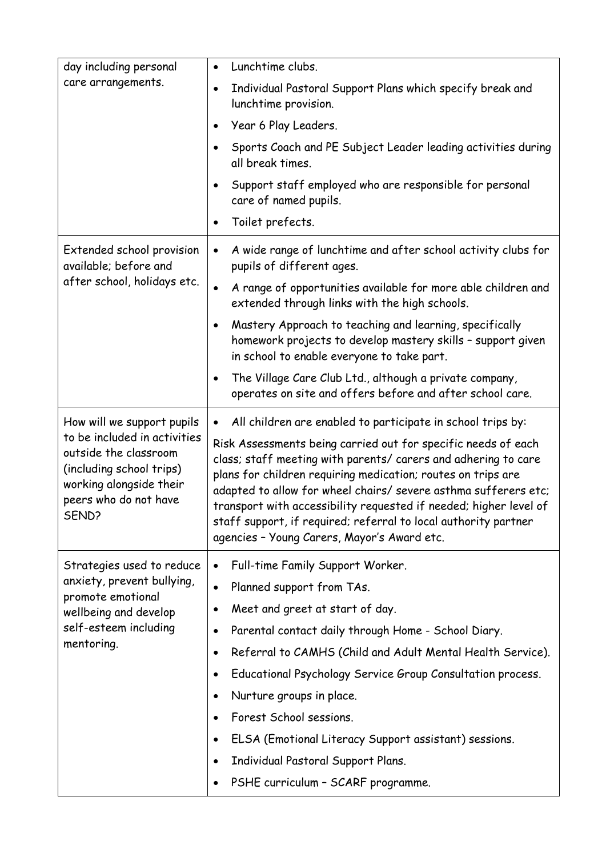| day including personal                                                                                                                         | Lunchtime clubs.<br>$\bullet$                                                                                                                                                                                                                                                                                                                                                                                                                             |
|------------------------------------------------------------------------------------------------------------------------------------------------|-----------------------------------------------------------------------------------------------------------------------------------------------------------------------------------------------------------------------------------------------------------------------------------------------------------------------------------------------------------------------------------------------------------------------------------------------------------|
| care arrangements.                                                                                                                             | Individual Pastoral Support Plans which specify break and<br>$\bullet$<br>lunchtime provision.                                                                                                                                                                                                                                                                                                                                                            |
|                                                                                                                                                | Year 6 Play Leaders.<br>$\bullet$                                                                                                                                                                                                                                                                                                                                                                                                                         |
|                                                                                                                                                | Sports Coach and PE Subject Leader leading activities during<br>all break times.                                                                                                                                                                                                                                                                                                                                                                          |
|                                                                                                                                                | Support staff employed who are responsible for personal<br>$\bullet$<br>care of named pupils.                                                                                                                                                                                                                                                                                                                                                             |
|                                                                                                                                                | Toilet prefects.<br>$\bullet$                                                                                                                                                                                                                                                                                                                                                                                                                             |
| Extended school provision<br>available; before and                                                                                             | A wide range of lunchtime and after school activity clubs for<br>$\bullet$<br>pupils of different ages.                                                                                                                                                                                                                                                                                                                                                   |
| after school, holidays etc.                                                                                                                    | A range of opportunities available for more able children and<br>$\bullet$<br>extended through links with the high schools.                                                                                                                                                                                                                                                                                                                               |
|                                                                                                                                                | Mastery Approach to teaching and learning, specifically<br>$\bullet$<br>homework projects to develop mastery skills - support given<br>in school to enable everyone to take part.                                                                                                                                                                                                                                                                         |
|                                                                                                                                                | The Village Care Club Ltd., although a private company,<br>$\bullet$<br>operates on site and offers before and after school care.                                                                                                                                                                                                                                                                                                                         |
| How will we support pupils                                                                                                                     | All children are enabled to participate in school trips by:<br>$\bullet$                                                                                                                                                                                                                                                                                                                                                                                  |
| to be included in activities<br>outside the classroom<br>(including school trips)<br>working alongside their<br>peers who do not have<br>SEND? | Risk Assessments being carried out for specific needs of each<br>class; staff meeting with parents/ carers and adhering to care<br>plans for children requiring medication; routes on trips are<br>adapted to allow for wheel chairs/ severe asthma sufferers etc;<br>transport with accessibility requested if needed; higher level of<br>staff support, if required; referral to local authority partner<br>agencies - Young Carers, Mayor's Award etc. |
| Strategies used to reduce                                                                                                                      | Full-time Family Support Worker.<br>$\bullet$                                                                                                                                                                                                                                                                                                                                                                                                             |
| anxiety, prevent bullying,<br>promote emotional                                                                                                | Planned support from TAs.<br>$\bullet$                                                                                                                                                                                                                                                                                                                                                                                                                    |
| wellbeing and develop<br>self-esteem including<br>mentoring.                                                                                   | Meet and greet at start of day.<br>$\bullet$                                                                                                                                                                                                                                                                                                                                                                                                              |
|                                                                                                                                                | Parental contact daily through Home - School Diary.<br>٠                                                                                                                                                                                                                                                                                                                                                                                                  |
|                                                                                                                                                | Referral to CAMHS (Child and Adult Mental Health Service).<br>$\bullet$                                                                                                                                                                                                                                                                                                                                                                                   |
|                                                                                                                                                | Educational Psychology Service Group Consultation process.<br>$\bullet$                                                                                                                                                                                                                                                                                                                                                                                   |
|                                                                                                                                                | Nurture groups in place.<br>$\bullet$                                                                                                                                                                                                                                                                                                                                                                                                                     |
|                                                                                                                                                | Forest School sessions.<br>$\bullet$                                                                                                                                                                                                                                                                                                                                                                                                                      |
|                                                                                                                                                | ELSA (Emotional Literacy Support assistant) sessions.<br>$\bullet$                                                                                                                                                                                                                                                                                                                                                                                        |
|                                                                                                                                                | Individual Pastoral Support Plans.<br>$\bullet$                                                                                                                                                                                                                                                                                                                                                                                                           |
|                                                                                                                                                | PSHE curriculum - SCARF programme.<br>$\bullet$                                                                                                                                                                                                                                                                                                                                                                                                           |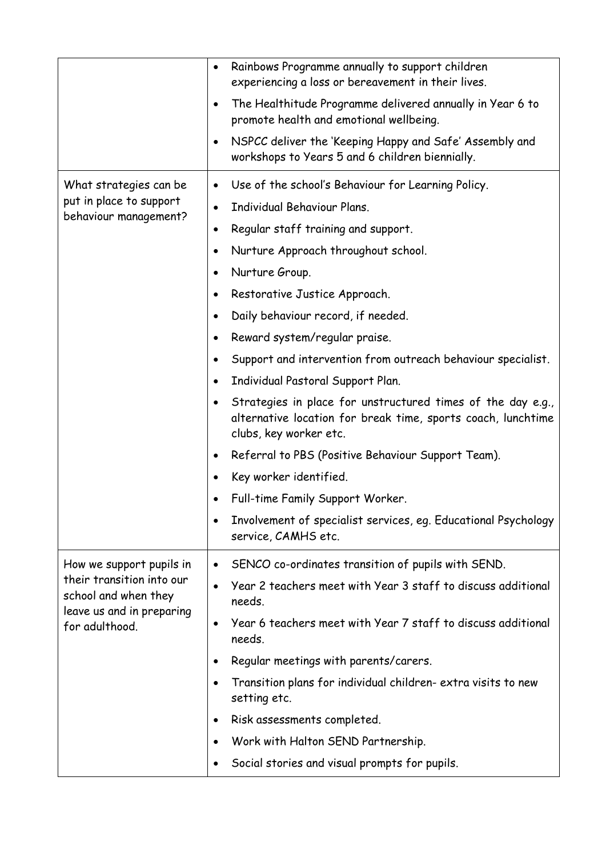|                                                                                                  | Rainbows Programme annually to support children<br>$\bullet$<br>experiencing a loss or bereavement in their lives.                                                                                                                    |
|--------------------------------------------------------------------------------------------------|---------------------------------------------------------------------------------------------------------------------------------------------------------------------------------------------------------------------------------------|
|                                                                                                  | The Healthitude Programme delivered annually in Year 6 to<br>٠<br>promote health and emotional wellbeing.                                                                                                                             |
|                                                                                                  | NSPCC deliver the 'Keeping Happy and Safe' Assembly and<br>$\bullet$<br>workshops to Years 5 and 6 children biennially.                                                                                                               |
| What strategies can be<br>put in place to support<br>behaviour management?                       | Use of the school's Behaviour for Learning Policy.<br>$\bullet$<br>Individual Behaviour Plans.<br>$\bullet$<br>Regular staff training and support.<br>$\bullet$<br>Nurture Approach throughout school.<br>$\bullet$<br>Nurture Group. |
|                                                                                                  | Restorative Justice Approach.<br>٠                                                                                                                                                                                                    |
|                                                                                                  | Daily behaviour record, if needed.<br>$\bullet$                                                                                                                                                                                       |
|                                                                                                  | Reward system/regular praise.<br>$\bullet$                                                                                                                                                                                            |
|                                                                                                  | Support and intervention from outreach behaviour specialist.                                                                                                                                                                          |
|                                                                                                  | Individual Pastoral Support Plan.<br>$\bullet$                                                                                                                                                                                        |
|                                                                                                  | Strategies in place for unstructured times of the day e.g.,<br>alternative location for break time, sports coach, lunchtime<br>clubs, key worker etc.                                                                                 |
|                                                                                                  | Referral to PBS (Positive Behaviour Support Team).                                                                                                                                                                                    |
|                                                                                                  | Key worker identified.                                                                                                                                                                                                                |
|                                                                                                  | Full-time Family Support Worker.                                                                                                                                                                                                      |
|                                                                                                  | Involvement of specialist services, eq. Educational Psychology<br>service, CAMHS etc.                                                                                                                                                 |
| How we support pupils in                                                                         | SENCO co-ordinates transition of pupils with SEND.<br>$\bullet$                                                                                                                                                                       |
| their transition into our<br>school and when they<br>leave us and in preparing<br>for adulthood. | Year 2 teachers meet with Year 3 staff to discuss additional<br>needs.                                                                                                                                                                |
|                                                                                                  | Year 6 teachers meet with Year 7 staff to discuss additional<br>$\bullet$<br>needs.                                                                                                                                                   |
|                                                                                                  | Regular meetings with parents/carers.                                                                                                                                                                                                 |
|                                                                                                  | Transition plans for individual children-extra visits to new<br>setting etc.                                                                                                                                                          |
|                                                                                                  | Risk assessments completed.                                                                                                                                                                                                           |
|                                                                                                  | Work with Halton SEND Partnership.                                                                                                                                                                                                    |
|                                                                                                  | Social stories and visual prompts for pupils.                                                                                                                                                                                         |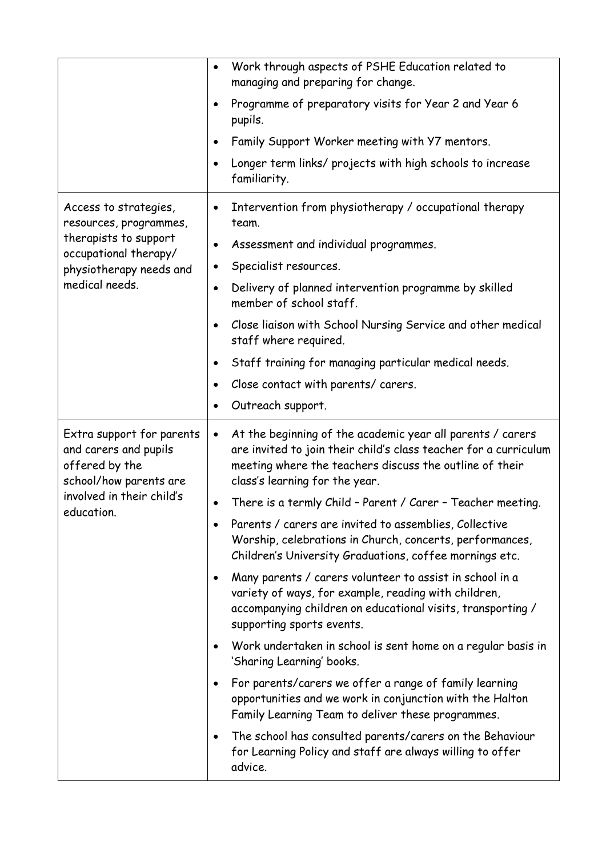|                                                                                                                                                | Work through aspects of PSHE Education related to<br>$\bullet$<br>managing and preparing for change.                                                                                                                                     |
|------------------------------------------------------------------------------------------------------------------------------------------------|------------------------------------------------------------------------------------------------------------------------------------------------------------------------------------------------------------------------------------------|
|                                                                                                                                                | Programme of preparatory visits for Year 2 and Year 6<br>$\bullet$<br>pupils.                                                                                                                                                            |
|                                                                                                                                                | Family Support Worker meeting with Y7 mentors.<br>$\bullet$                                                                                                                                                                              |
|                                                                                                                                                | Longer term links/ projects with high schools to increase<br>$\bullet$<br>familiarity.                                                                                                                                                   |
| Access to strategies,<br>resources, programmes,<br>therapists to support<br>occupational therapy/<br>physiotherapy needs and<br>medical needs. | Intervention from physiotherapy / occupational therapy<br>$\bullet$<br>team.                                                                                                                                                             |
|                                                                                                                                                | Assessment and individual programmes.<br>$\bullet$                                                                                                                                                                                       |
|                                                                                                                                                | Specialist resources.<br>$\bullet$                                                                                                                                                                                                       |
|                                                                                                                                                | Delivery of planned intervention programme by skilled<br>$\bullet$<br>member of school staff.                                                                                                                                            |
|                                                                                                                                                | Close liaison with School Nursing Service and other medical<br>$\bullet$<br>staff where required.                                                                                                                                        |
|                                                                                                                                                | Staff training for managing particular medical needs.<br>$\bullet$                                                                                                                                                                       |
|                                                                                                                                                | Close contact with parents/ carers.<br>$\bullet$                                                                                                                                                                                         |
|                                                                                                                                                | Outreach support.<br>٠                                                                                                                                                                                                                   |
| Extra support for parents<br>and carers and pupils<br>offered by the<br>school/how parents are                                                 | At the beginning of the academic year all parents / carers<br>$\bullet$<br>are invited to join their child's class teacher for a curriculum<br>meeting where the teachers discuss the outline of their<br>class's learning for the year. |
| involved in their child's                                                                                                                      | There is a termly Child - Parent / Carer - Teacher meeting.<br>$\bullet$                                                                                                                                                                 |
| education.                                                                                                                                     | Parents / carers are invited to assemblies, Collective<br>$\bullet$<br>Worship, celebrations in Church, concerts, performances,<br>Children's University Graduations, coffee mornings etc.                                               |
|                                                                                                                                                | Many parents / carers volunteer to assist in school in a<br>$\bullet$<br>variety of ways, for example, reading with children,<br>accompanying children on educational visits, transporting /<br>supporting sports events.                |
|                                                                                                                                                | Work undertaken in school is sent home on a regular basis in<br>$\bullet$<br>'Sharing Learning' books.                                                                                                                                   |
|                                                                                                                                                | For parents/carers we offer a range of family learning<br>$\bullet$<br>opportunities and we work in conjunction with the Halton<br>Family Learning Team to deliver these programmes.                                                     |
|                                                                                                                                                | The school has consulted parents/carers on the Behaviour<br>$\bullet$<br>for Learning Policy and staff are always willing to offer<br>advice.                                                                                            |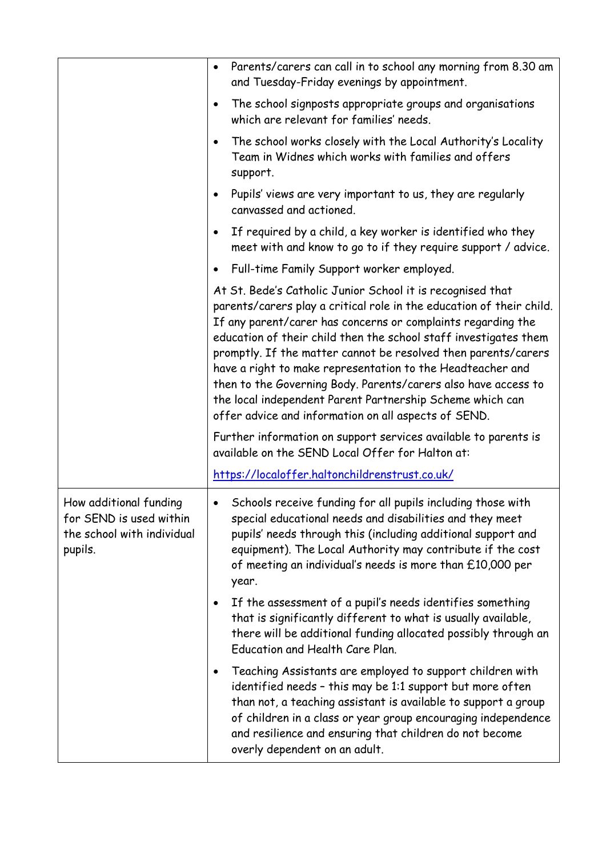|                                                                                            | Parents/carers can call in to school any morning from 8.30 am<br>$\bullet$<br>and Tuesday-Friday evenings by appointment.                                                                                                                                                                                                                                                                                                                                                                                                                                                                     |
|--------------------------------------------------------------------------------------------|-----------------------------------------------------------------------------------------------------------------------------------------------------------------------------------------------------------------------------------------------------------------------------------------------------------------------------------------------------------------------------------------------------------------------------------------------------------------------------------------------------------------------------------------------------------------------------------------------|
|                                                                                            | The school signposts appropriate groups and organisations<br>$\bullet$<br>which are relevant for families' needs.                                                                                                                                                                                                                                                                                                                                                                                                                                                                             |
|                                                                                            | The school works closely with the Local Authority's Locality<br>$\bullet$<br>Team in Widnes which works with families and offers<br>support.                                                                                                                                                                                                                                                                                                                                                                                                                                                  |
|                                                                                            | Pupils' views are very important to us, they are regularly<br>canvassed and actioned.                                                                                                                                                                                                                                                                                                                                                                                                                                                                                                         |
|                                                                                            | If required by a child, a key worker is identified who they<br>$\bullet$<br>meet with and know to go to if they require support / advice.                                                                                                                                                                                                                                                                                                                                                                                                                                                     |
|                                                                                            | Full-time Family Support worker employed.                                                                                                                                                                                                                                                                                                                                                                                                                                                                                                                                                     |
|                                                                                            | At St. Bede's Catholic Junior School it is recognised that<br>parents/carers play a critical role in the education of their child.<br>If any parent/carer has concerns or complaints regarding the<br>education of their child then the school staff investigates them<br>promptly. If the matter cannot be resolved then parents/carers<br>have a right to make representation to the Headteacher and<br>then to the Governing Body. Parents/carers also have access to<br>the local independent Parent Partnership Scheme which can<br>offer advice and information on all aspects of SEND. |
|                                                                                            | Further information on support services available to parents is<br>available on the SEND Local Offer for Halton at:                                                                                                                                                                                                                                                                                                                                                                                                                                                                           |
|                                                                                            | https://localoffer.haltonchildrenstrust.co.uk/                                                                                                                                                                                                                                                                                                                                                                                                                                                                                                                                                |
| How additional funding<br>for SEND is used within<br>the school with individual<br>pupils. | Schools receive funding for all pupils including those with<br>$\bullet$<br>special educational needs and disabilities and they meet<br>pupils' needs through this (including additional support and<br>equipment). The Local Authority may contribute if the cost<br>of meeting an individual's needs is more than £10,000 per<br>year.                                                                                                                                                                                                                                                      |
|                                                                                            | If the assessment of a pupil's needs identifies something<br>$\bullet$<br>that is significantly different to what is usually available,<br>there will be additional funding allocated possibly through an<br>Education and Health Care Plan.                                                                                                                                                                                                                                                                                                                                                  |
|                                                                                            | Teaching Assistants are employed to support children with<br>$\bullet$<br>identified needs - this may be 1:1 support but more often<br>than not, a teaching assistant is available to support a group<br>of children in a class or year group encouraging independence<br>and resilience and ensuring that children do not become<br>overly dependent on an adult.                                                                                                                                                                                                                            |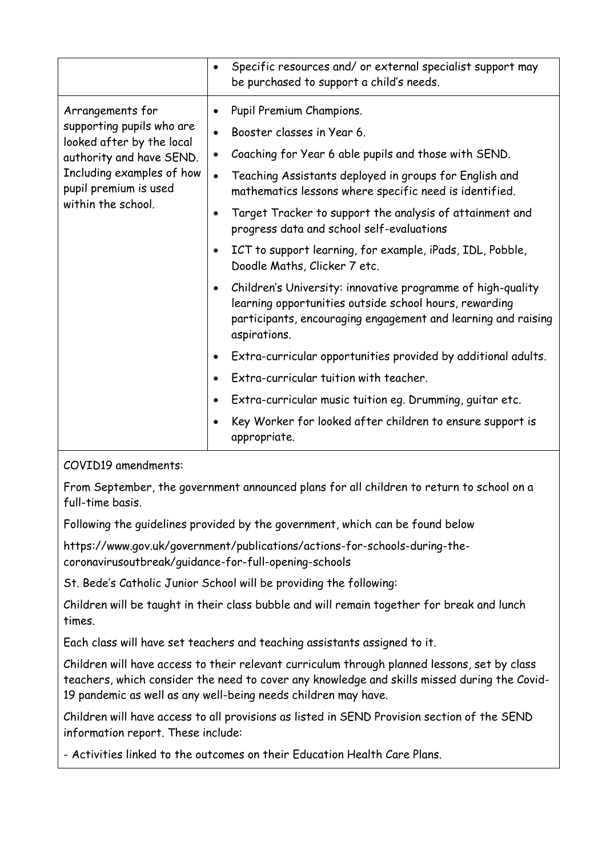|                                                                                                                                                                                                                                                                                                              | Specific resources and/ or external specialist support may<br>$\bullet$<br>be purchased to support a child's needs.                                                                                                                                                                                                                                                                                                                                                                                                                                                                                                                                                                                                                                                                                                                                                                                    |
|--------------------------------------------------------------------------------------------------------------------------------------------------------------------------------------------------------------------------------------------------------------------------------------------------------------|--------------------------------------------------------------------------------------------------------------------------------------------------------------------------------------------------------------------------------------------------------------------------------------------------------------------------------------------------------------------------------------------------------------------------------------------------------------------------------------------------------------------------------------------------------------------------------------------------------------------------------------------------------------------------------------------------------------------------------------------------------------------------------------------------------------------------------------------------------------------------------------------------------|
| Arrangements for<br>٠<br>supporting pupils who are<br>$\bullet$<br>looked after by the local<br>$\bullet$<br>authority and have SEND.<br>Including examples of how<br>pupil premium is used<br>within the school.<br>$\bullet$<br>$\bullet$<br>$\bullet$<br>$\bullet$<br>$\bullet$<br>$\bullet$<br>$\bullet$ | Pupil Premium Champions.<br>Booster classes in Year 6.<br>Coaching for Year 6 able pupils and those with SEND.<br>Teaching Assistants deployed in groups for English and<br>mathematics lessons where specific need is identified.<br>Target Tracker to support the analysis of attainment and<br>progress data and school self-evaluations<br>ICT to support learning, for example, iPads, IDL, Pobble,<br>Doodle Maths, Clicker 7 etc.<br>Children's University: innovative programme of high-quality<br>learning opportunities outside school hours, rewarding<br>participants, encouraging engagement and learning and raising<br>aspirations.<br>Extra-curricular opportunities provided by additional adults.<br>Extra-curricular tuition with teacher.<br>Extra-curricular music tuition eg. Drumming, guitar etc.<br>Key Worker for looked after children to ensure support is<br>appropriate. |

COVID19 amendments:

From September, the government announced plans for all children to return to school on a full-time basis.

Following the guidelines provided by the government, which can be found below

https://www.gov.uk/government/publications/actions-for-schools-during-thecoronavirusoutbreak/guidance-for-full-opening-schools

St. Bede's Catholic Junior School will be providing the following:

Children will be taught in their class bubble and will remain together for break and lunch times.

Each class will have set teachers and teaching assistants assigned to it.

Children will have access to their relevant curriculum through planned lessons, set by class teachers, which consider the need to cover any knowledge and skills missed during the Covid-19 pandemic as well as any well-being needs children may have.

Children will have access to all provisions as listed in SEND Provision section of the SEND information report. These include:

- Activities linked to the outcomes on their Education Health Care Plans.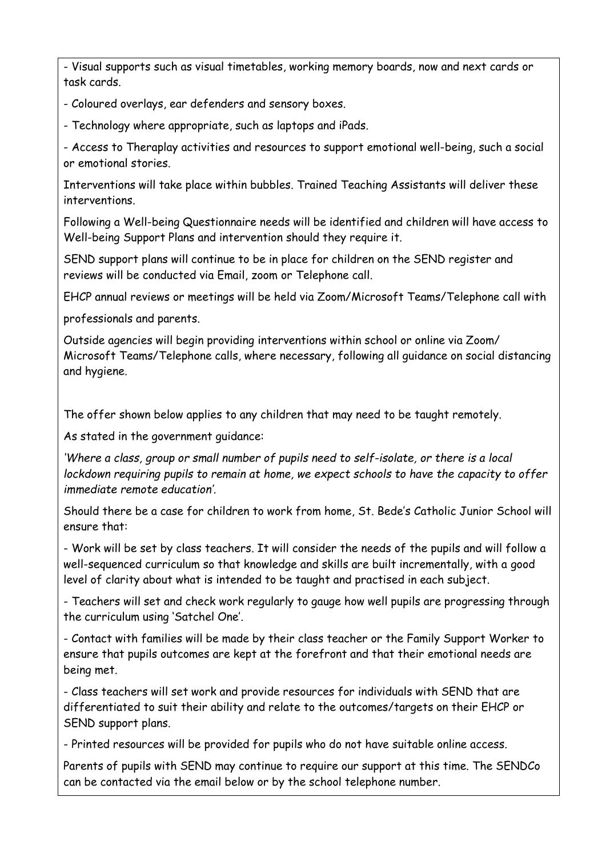- Visual supports such as visual timetables, working memory boards, now and next cards or task cards.

- Coloured overlays, ear defenders and sensory boxes.

- Technology where appropriate, such as laptops and iPads.

- Access to Theraplay activities and resources to support emotional well-being, such a social or emotional stories.

Interventions will take place within bubbles. Trained Teaching Assistants will deliver these interventions.

Following a Well-being Questionnaire needs will be identified and children will have access to Well-being Support Plans and intervention should they require it.

SEND support plans will continue to be in place for children on the SEND register and reviews will be conducted via Email, zoom or Telephone call.

EHCP annual reviews or meetings will be held via Zoom/Microsoft Teams/Telephone call with

professionals and parents.

Outside agencies will begin providing interventions within school or online via Zoom/ Microsoft Teams/Telephone calls, where necessary, following all guidance on social distancing and hygiene.

The offer shown below applies to any children that may need to be taught remotely.

As stated in the government guidance:

*'Where a class, group or small number of pupils need to self-isolate, or there is a local lockdown requiring pupils to remain at home, we expect schools to have the capacity to offer immediate remote education'.*

Should there be a case for children to work from home, St. Bede's Catholic Junior School will ensure that:

- Work will be set by class teachers. It will consider the needs of the pupils and will follow a well-sequenced curriculum so that knowledge and skills are built incrementally, with a good level of clarity about what is intended to be taught and practised in each subject.

- Teachers will set and check work regularly to gauge how well pupils are progressing through the curriculum using 'Satchel One'.

- Contact with families will be made by their class teacher or the Family Support Worker to ensure that pupils outcomes are kept at the forefront and that their emotional needs are being met.

- Class teachers will set work and provide resources for individuals with SEND that are differentiated to suit their ability and relate to the outcomes/targets on their EHCP or SEND support plans.

- Printed resources will be provided for pupils who do not have suitable online access.

Parents of pupils with SEND may continue to require our support at this time. The SENDCo can be contacted via the email below or by the school telephone number.